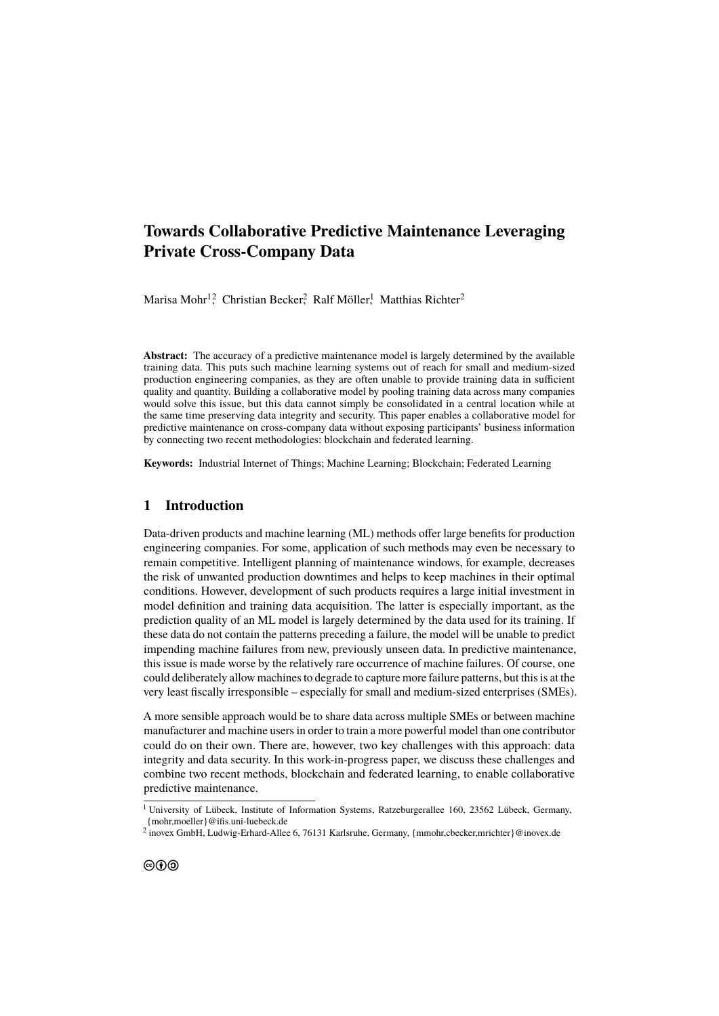# **Towards Collaborative Predictive Maintenance Leveraging Private Cross-Company Data**

Marisa Mohr $^{12}$ , Christian Becker<sup>2</sup>, Ralf Möller, Matthias Richter<sup>2</sup>

**Abstract:** The accuracy of a predictive maintenance model is largely determined by the available training data. This puts such machine learning systems out of reach for small and medium-sized production engineering companies, as they are often unable to provide training data in sufficient quality and quantity. Building a collaborative model by pooling training data across many companies would solve this issue, but this data cannot simply be consolidated in a central location while at the same time preserving data integrity and security. This paper enables a collaborative model for predictive maintenance on cross-company data without exposing participants' business information by connecting two recent methodologies: blockchain and federated learning.

**Keywords:** Industrial Internet of Things; Machine Learning; Blockchain; Federated Learning

### **1 Introduction**

Data-driven products and machine learning (ML) methods offer large benefits for production engineering companies. For some, application of such methods may even be necessary to remain competitive. Intelligent planning of maintenance windows, for example, decreases the risk of unwanted production downtimes and helps to keep machines in their optimal conditions. However, development of such products requires a large initial investment in model definition and training data acquisition. The latter is especially important, as the prediction quality of an ML model is largely determined by the data used for its training. If these data do not contain the patterns preceding a failure, the model will be unable to predict impending machine failures from new, previously unseen data. In predictive maintenance, this issue is made worse by the relatively rare occurrence of machine failures. Of course, one could deliberately allow machines to degrade to capture more failure patterns, but this is at the very least fiscally irresponsible – especially for small and medium-sized enterprises (SMEs).

A more sensible approach would be to share data across multiple SMEs or between machine manufacturer and machine users in order to train a more powerful model than one contributor could do on their own. There are, however, two key challenges with this approach: data integrity and data security. In this work-in-progress paper, we discuss these challenges and combine two recent methods, blockchain and federated learning, to enable collaborative predictive maintenance.

<sup>&</sup>lt;sup>1</sup> University of Lübeck, Institute of Information Systems, Ratzeburgerallee 160, 23562 Lübeck, Germany, {mohr,moeller}@ifis.uni-luebeck.de

 $^2$  inovex GmbH, Ludwig-Erhard-Allee 6, 76131 Karlsruhe, Germany, {mmohr,cbecker,mrichter}@inovex.de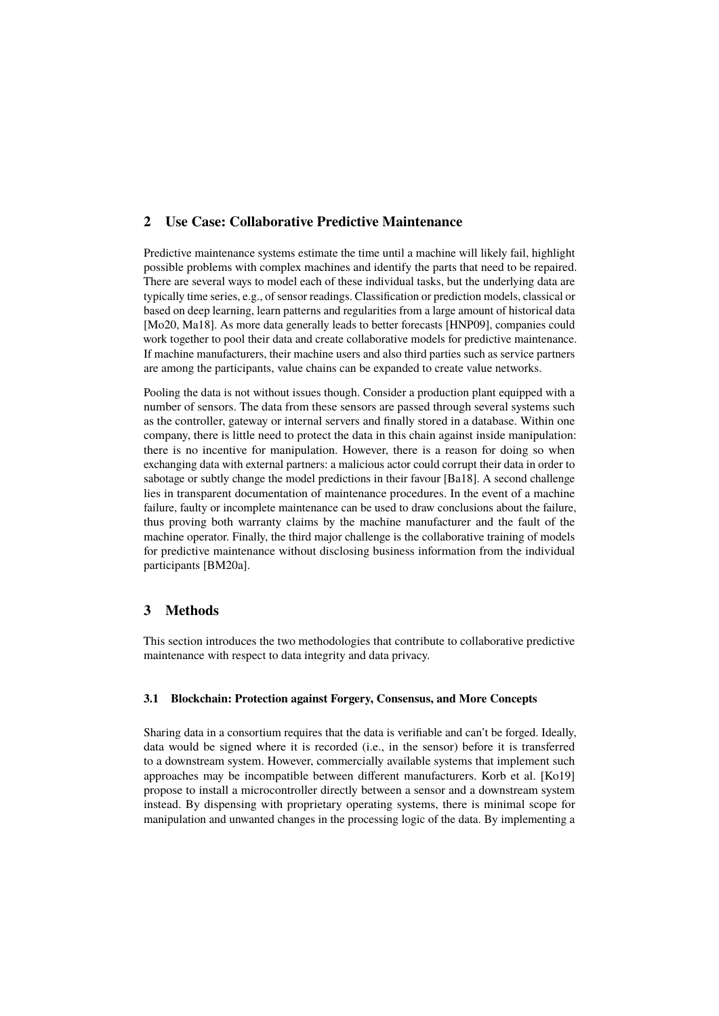# **2 Use Case: Collaborative Predictive Maintenance**

Predictive maintenance systems estimate the time until a machine will likely fail, highlight possible problems with complex machines and identify the parts that need to be repaired. There are several ways to model each of these individual tasks, but the underlying data are typically time series, e.g., of sensor readings. Classification or prediction models, classical or based on deep learning, learn patterns and regularities from a large amount of historical data [\[Mo20,](#page-4-0) [Ma18\]](#page-4-1). As more data generally leads to better forecasts [\[HNP09\]](#page-4-2), companies could work together to pool their data and create collaborative models for predictive maintenance. If machine manufacturers, their machine users and also third parties such as service partners are among the participants, value chains can be expanded to create value networks.

Pooling the data is not without issues though. Consider a production plant equipped with a number of sensors. The data from these sensors are passed through several systems such as the controller, gateway or internal servers and finally stored in a database. Within one company, there is little need to protect the data in this chain against inside manipulation: there is no incentive for manipulation. However, there is a reason for doing so when exchanging data with external partners: a malicious actor could corrupt their data in order to sabotage or subtly change the model predictions in their favour [\[Ba18\]](#page-4-3). A second challenge lies in transparent documentation of maintenance procedures. In the event of a machine failure, faulty or incomplete maintenance can be used to draw conclusions about the failure, thus proving both warranty claims by the machine manufacturer and the fault of the machine operator. Finally, the third major challenge is the collaborative training of models for predictive maintenance without disclosing business information from the individual participants [\[BM20a\]](#page-4-4).

## **3 Methods**

This section introduces the two methodologies that contribute to collaborative predictive maintenance with respect to data integrity and data privacy.

#### **3.1 Blockchain: Protection against Forgery, Consensus, and More Concepts**

Sharing data in a consortium requires that the data is verifiable and can't be forged. Ideally, data would be signed where it is recorded (i.e., in the sensor) before it is transferred to a downstream system. However, commercially available systems that implement such approaches may be incompatible between different manufacturers. Korb et al. [\[Ko19\]](#page-4-5) propose to install a microcontroller directly between a sensor and a downstream system instead. By dispensing with proprietary operating systems, there is minimal scope for manipulation and unwanted changes in the processing logic of the data. By implementing a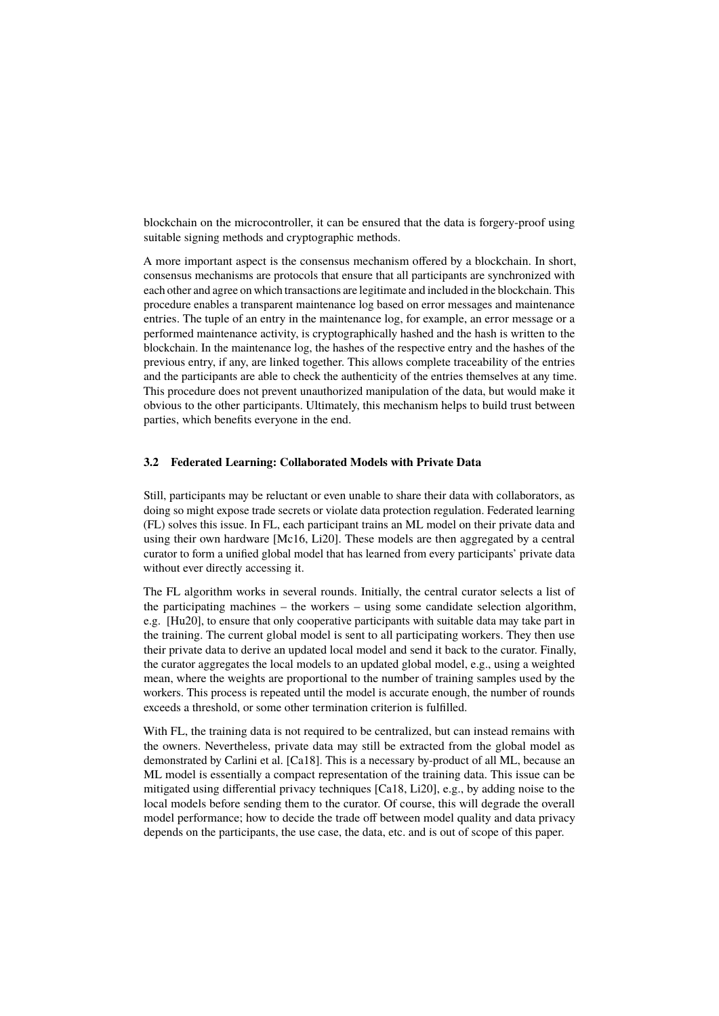blockchain on the microcontroller, it can be ensured that the data is forgery-proof using suitable signing methods and cryptographic methods.

A more important aspect is the consensus mechanism offered by a blockchain. In short, consensus mechanisms are protocols that ensure that all participants are synchronized with each other and agree on which transactions are legitimate and included in the blockchain. This procedure enables a transparent maintenance log based on error messages and maintenance entries. The tuple of an entry in the maintenance log, for example, an error message or a performed maintenance activity, is cryptographically hashed and the hash is written to the blockchain. In the maintenance log, the hashes of the respective entry and the hashes of the previous entry, if any, are linked together. This allows complete traceability of the entries and the participants are able to check the authenticity of the entries themselves at any time. This procedure does not prevent unauthorized manipulation of the data, but would make it obvious to the other participants. Ultimately, this mechanism helps to build trust between parties, which benefits everyone in the end.

#### **3.2 Federated Learning: Collaborated Models with Private Data**

Still, participants may be reluctant or even unable to share their data with collaborators, as doing so might expose trade secrets or violate data protection regulation. Federated learning (FL) solves this issue. In FL, each participant trains an ML model on their private data and using their own hardware [\[Mc16,](#page-4-6) [Li20\]](#page-4-7). These models are then aggregated by a central curator to form a unified global model that has learned from every participants' private data without ever directly accessing it.

The FL algorithm works in several rounds. Initially, the central curator selects a list of the participating machines – the workers – using some candidate selection algorithm, e.g. [\[Hu20\]](#page-4-8), to ensure that only cooperative participants with suitable data may take part in the training. The current global model is sent to all participating workers. They then use their private data to derive an updated local model and send it back to the curator. Finally, the curator aggregates the local models to an updated global model, e.g., using a weighted mean, where the weights are proportional to the number of training samples used by the workers. This process is repeated until the model is accurate enough, the number of rounds exceeds a threshold, or some other termination criterion is fulfilled.

With FL, the training data is not required to be centralized, but can instead remains with the owners. Nevertheless, private data may still be extracted from the global model as demonstrated by Carlini et al. [\[Ca18\]](#page-4-9). This is a necessary by-product of all ML, because an ML model is essentially a compact representation of the training data. This issue can be mitigated using differential privacy techniques [\[Ca18,](#page-4-9) [Li20\]](#page-4-7), e.g., by adding noise to the local models before sending them to the curator. Of course, this will degrade the overall model performance; how to decide the trade off between model quality and data privacy depends on the participants, the use case, the data, etc. and is out of scope of this paper.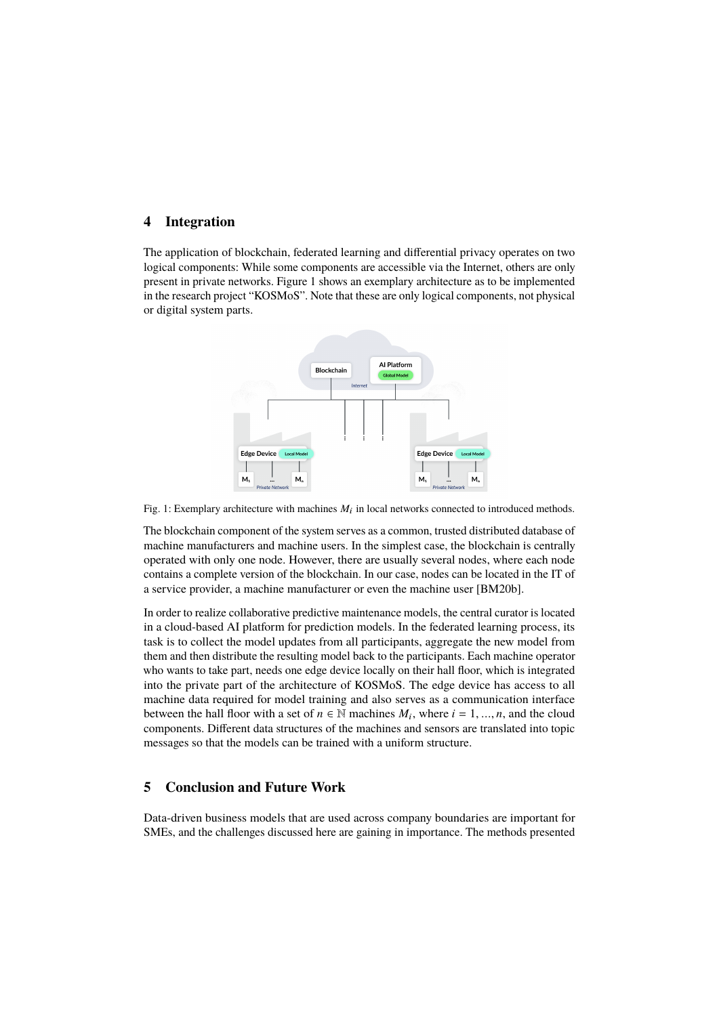### **4 Integration**

<span id="page-3-0"></span>The application of blockchain, federated learning and differential privacy operates on two logical components: While some components are accessible via the Internet, others are only present in private networks. Figure [1](#page-3-0) shows an exemplary architecture as to be implemented in the research project "KOSMoS". Note that these are only logical components, not physical or digital system parts.



Fig. 1: Exemplary architecture with machines  $M_i$  in local networks connected to introduced methods.

The blockchain component of the system serves as a common, trusted distributed database of machine manufacturers and machine users. In the simplest case, the blockchain is centrally operated with only one node. However, there are usually several nodes, where each node contains a complete version of the blockchain. In our case, nodes can be located in the IT of a service provider, a machine manufacturer or even the machine user [\[BM20b\]](#page-4-10).

In order to realize collaborative predictive maintenance models, the central curator is located in a cloud-based AI platform for prediction models. In the federated learning process, its task is to collect the model updates from all participants, aggregate the new model from them and then distribute the resulting model back to the participants. Each machine operator who wants to take part, needs one edge device locally on their hall floor, which is integrated into the private part of the architecture of KOSMoS. The edge device has access to all machine data required for model training and also serves as a communication interface between the hall floor with a set of  $n \in \mathbb{N}$  machines  $M_i$ , where  $i = 1, ..., n$ , and the cloud components. Different data structures of the machines and sensors are translated into topic messages so that the models can be trained with a uniform structure.

# **5 Conclusion and Future Work**

Data-driven business models that are used across company boundaries are important for SMEs, and the challenges discussed here are gaining in importance. The methods presented